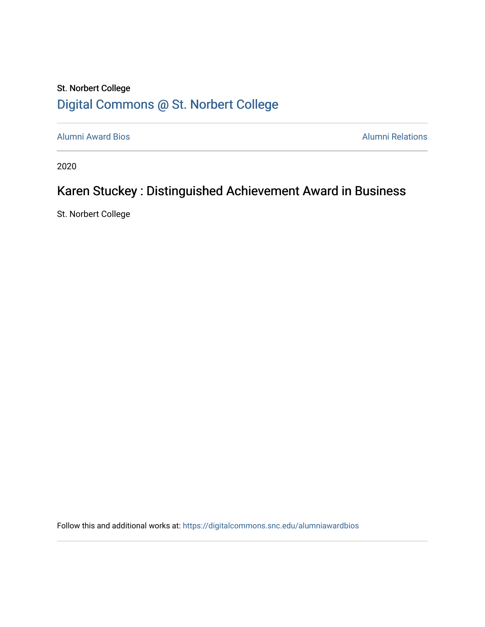## St. Norbert College [Digital Commons @ St. Norbert College](https://digitalcommons.snc.edu/)

[Alumni Award Bios](https://digitalcommons.snc.edu/alumniawardbios) **Alumni Relations** Alumni Relations

2020

# Karen Stuckey : Distinguished Achievement Award in Business

St. Norbert College

Follow this and additional works at: [https://digitalcommons.snc.edu/alumniawardbios](https://digitalcommons.snc.edu/alumniawardbios?utm_source=digitalcommons.snc.edu%2Falumniawardbios%2F61&utm_medium=PDF&utm_campaign=PDFCoverPages)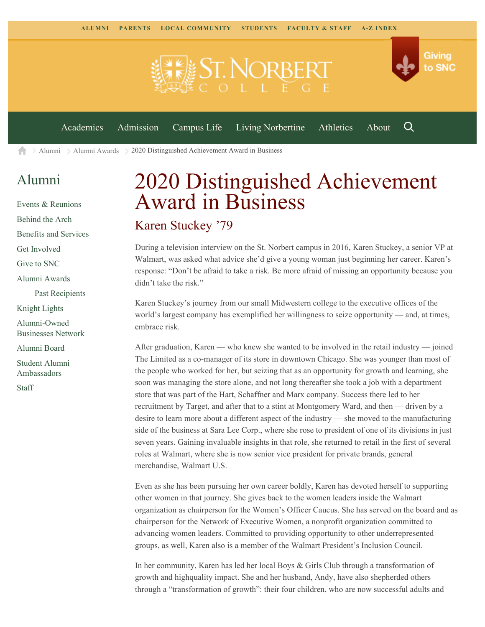

Q

[Academics](https://www.snc.edu/academics) [Admission](https://www.snc.edu/admission) [Campus Life](https://www.snc.edu/campuslife) [Living Norbertine](https://www.snc.edu/livingnorbertine) [Athletics](https://www.snc.edu/athletics) [About](https://www.snc.edu/about)

 $\geq$  [Alumni](https://www.snc.edu/alumni/)  $\geq$  [Alumni Awards](https://www.snc.edu/alumni/awards/)  $\geq$  2020 Distinguished Achievement Award in Business A

## [Alumni](https://www.snc.edu/alumni/index.html)

[Events & Reunions](https://www.snc.edu/alumni/event/index.html) [Behind the Arch](https://www.snc.edu/alumni/event/behindthearch/) [Benefits and Services](https://www.snc.edu/alumni/benefits.html) [Get Involved](https://www.snc.edu/alumni/getinvolved.html) [Give to SNC](http://giving.snc.edu/) [Alumni Awards](https://www.snc.edu/alumni/awards/index.html) [Past Recipients](https://www.snc.edu/alumni/awards/recipients.html) [Knight Lights](https://www.snc.edu/alumni/knightlights/index.html) [Alumni-Owned](https://www.snc.edu/alumni/directory/index.html) [Businesses Network](https://www.snc.edu/alumni/directory/index.html) [Alumni Board](https://www.snc.edu/alumni/alumniboard.html) [Student Alumni](https://www.snc.edu/alumni/saa.html) [Ambassadors](https://www.snc.edu/alumni/saa.html) [Staff](https://www.snc.edu/alumni/contactus.html)

# 2020 Distinguished Achievement Award in Business

### Karen Stuckey '79

During a television interview on the St. Norbert campus in 2016, Karen Stuckey, a senior VP at Walmart, was asked what advice she'd give a young woman just beginning her career. Karen's response: "Don't be afraid to take a risk. Be more afraid of missing an opportunity because you didn't take the risk."

Karen Stuckey's journey from our small Midwestern college to the executive offices of the world's largest company has exemplified her willingness to seize opportunity — and, at times, embrace risk.

After graduation, Karen — who knew she wanted to be involved in the retail industry — joined The Limited as a co-manager of its store in downtown Chicago. She was younger than most of the people who worked for her, but seizing that as an opportunity for growth and learning, she soon was managing the store alone, and not long thereafter she took a job with a department store that was part of the Hart, Schaffner and Marx company. Success there led to her recruitment by Target, and after that to a stint at Montgomery Ward, and then — driven by a desire to learn more about a different aspect of the industry — she moved to the manufacturing side of the business at Sara Lee Corp., where she rose to president of one of its divisions in just seven years. Gaining invaluable insights in that role, she returned to retail in the first of several roles at Walmart, where she is now senior vice president for private brands, general merchandise, Walmart U.S.

Even as she has been pursuing her own career boldly, Karen has devoted herself to supporting other women in that journey. She gives back to the women leaders inside the Walmart organization as chairperson for the Women's Officer Caucus. She has served on the board and as chairperson for the Network of Executive Women, a nonprofit organization committed to advancing women leaders. Committed to providing opportunity to other underrepresented groups, as well, Karen also is a member of the Walmart President's Inclusion Council.

In her community, Karen has led her local Boys & Girls Club through a transformation of growth and highquality impact. She and her husband, Andy, have also shepherded others through a "transformation of growth": their four children, who are now successful adults and